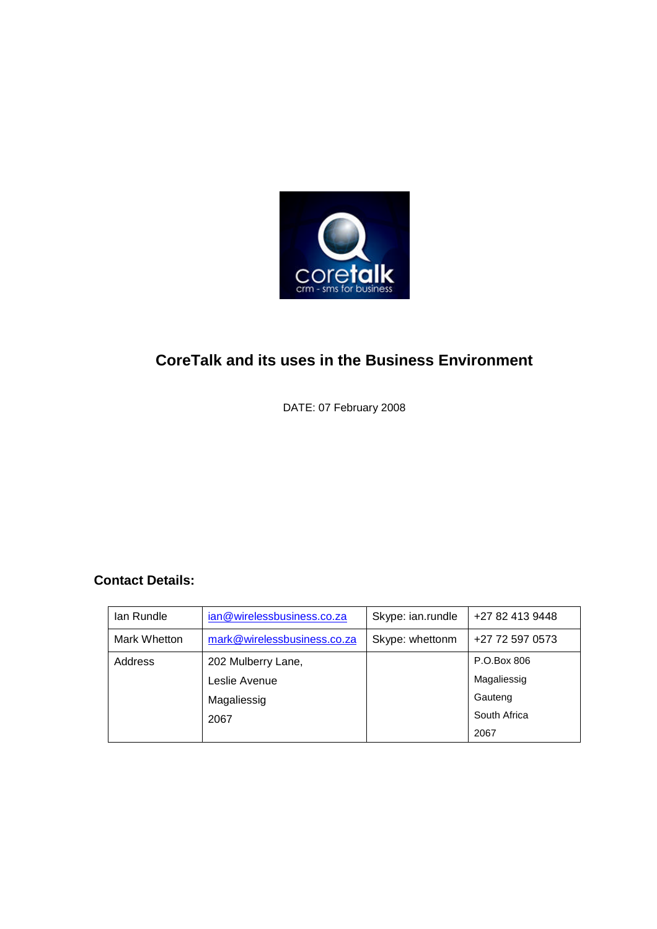

# **CoreTalk and its uses in the Business Environment**

DATE: 07 February 2008

## **Contact Details:**

| lan Rundle   | ian@wirelessbusiness.co.za  | Skype: ian.rundle | +27 82 413 9448 |
|--------------|-----------------------------|-------------------|-----------------|
| Mark Whetton | mark@wirelessbusiness.co.za | Skype: whettonm   | +27 72 597 0573 |
| Address      | 202 Mulberry Lane,          |                   | P.O.Box 806     |
|              | Leslie Avenue               |                   | Magaliessig     |
|              | Magaliessig                 |                   | Gauteng         |
|              | 2067                        |                   | South Africa    |
|              |                             |                   | 2067            |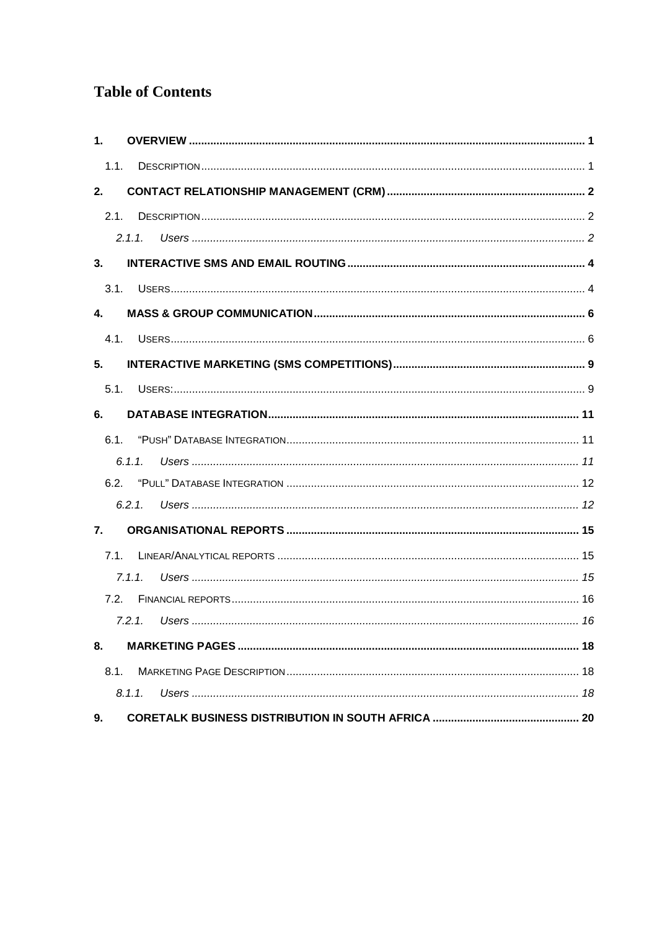# **Table of Contents**

| $\mathbf{1}$ . |        |  |
|----------------|--------|--|
| 1.1.           |        |  |
| 2.             |        |  |
| 2.1.           |        |  |
|                | 2.1.1. |  |
| 3.             |        |  |
| 3.1.           |        |  |
| $\mathbf{4}$   |        |  |
| 4.1.           |        |  |
| 5.             |        |  |
| 5.1.           |        |  |
| 6.             |        |  |
| 6.1.           |        |  |
|                | 6.1.1. |  |
|                |        |  |
|                | 6.2.1. |  |
| 7.             |        |  |
| 7.1.           |        |  |
|                | 7.1.1  |  |
| 7.2.           |        |  |
|                | 7.2.1. |  |
| 8.             |        |  |
| 8.1.           |        |  |
|                | 8.1.1  |  |
| 9.             |        |  |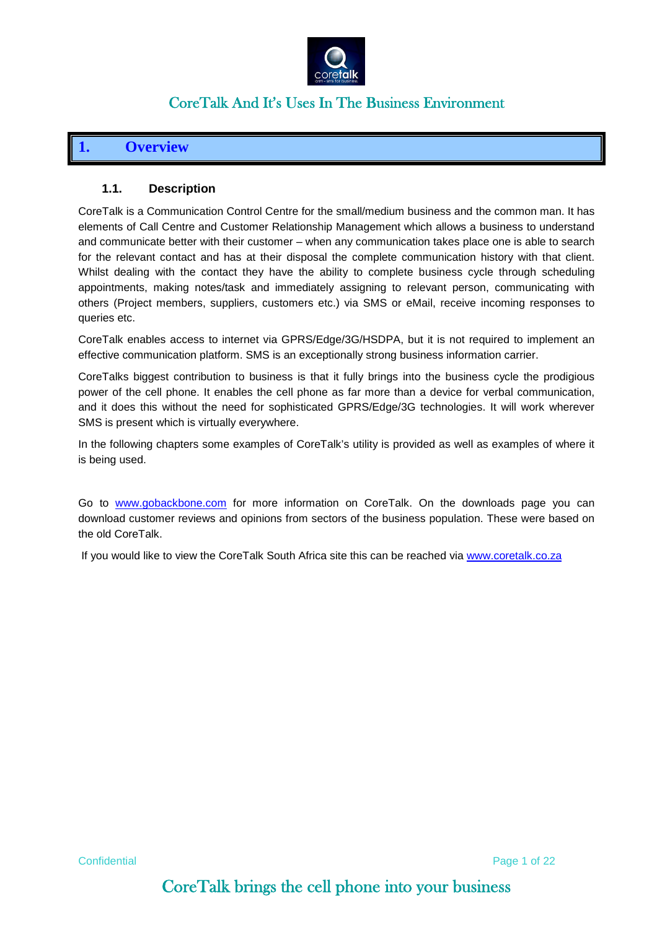

## <span id="page-2-0"></span>**1. Overview**

### <span id="page-2-1"></span>**1.1. Description**

CoreTalk is a Communication Control Centre for the small/medium business and the common man. It has elements of Call Centre and Customer Relationship Management which allows a business to understand and communicate better with their customer – when any communication takes place one is able to search for the relevant contact and has at their disposal the complete communication history with that client. Whilst dealing with the contact they have the ability to complete business cycle through scheduling appointments, making notes/task and immediately assigning to relevant person, communicating with others (Project members, suppliers, customers etc.) via SMS or eMail, receive incoming responses to queries etc.

CoreTalk enables access to internet via GPRS/Edge/3G/HSDPA, but it is not required to implement an effective communication platform. SMS is an exceptionally strong business information carrier.

CoreTalks biggest contribution to business is that it fully brings into the business cycle the prodigious power of the cell phone. It enables the cell phone as far more than a device for verbal communication, and it does this without the need for sophisticated GPRS/Edge/3G technologies. It will work wherever SMS is present which is virtually everywhere.

In the following chapters some examples of CoreTalk's utility is provided as well as examples of where it is being used.

Go to [www.gobackbone.com](http://www.gobackbone.com/) for more information on CoreTalk. On the downloads page you can download customer reviews and opinions from sectors of the business population. These were based on the old CoreTalk.

If you would like to view the CoreTalk South Africa site this can be reached via [www.coretalk.co.za](http://www.coretalk.co.za/)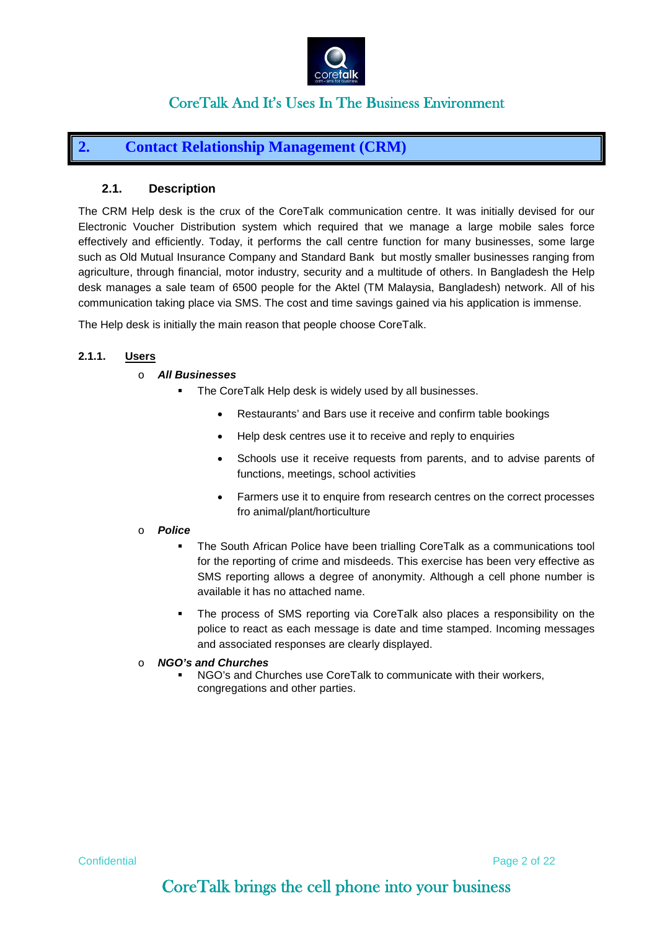

## <span id="page-3-0"></span>**2. Contact Relationship Management (CRM)**

### <span id="page-3-1"></span>**2.1. Description**

The CRM Help desk is the crux of the CoreTalk communication centre. It was initially devised for our Electronic Voucher Distribution system which required that we manage a large mobile sales force effectively and efficiently. Today, it performs the call centre function for many businesses, some large such as Old Mutual Insurance Company and Standard Bank but mostly smaller businesses ranging from agriculture, through financial, motor industry, security and a multitude of others. In Bangladesh the Help desk manages a sale team of 6500 people for the Aktel (TM Malaysia, Bangladesh) network. All of his communication taking place via SMS. The cost and time savings gained via his application is immense.

The Help desk is initially the main reason that people choose CoreTalk.

### **2.1.1. Users**

### <span id="page-3-2"></span>o *All Businesses*

- The CoreTalk Help desk is widely used by all businesses.
	- Restaurants' and Bars use it receive and confirm table bookings
	- Help desk centres use it to receive and reply to enquiries
	- Schools use it receive requests from parents, and to advise parents of functions, meetings, school activities
	- Farmers use it to enquire from research centres on the correct processes fro animal/plant/horticulture
- o *Police*
	- The South African Police have been trialling CoreTalk as a communications tool for the reporting of crime and misdeeds. This exercise has been very effective as SMS reporting allows a degree of anonymity. Although a cell phone number is available it has no attached name.
	- The process of SMS reporting via CoreTalk also places a responsibility on the police to react as each message is date and time stamped. Incoming messages and associated responses are clearly displayed.
- o *NGO's and Churches*
	- NGO's and Churches use CoreTalk to communicate with their workers, congregations and other parties.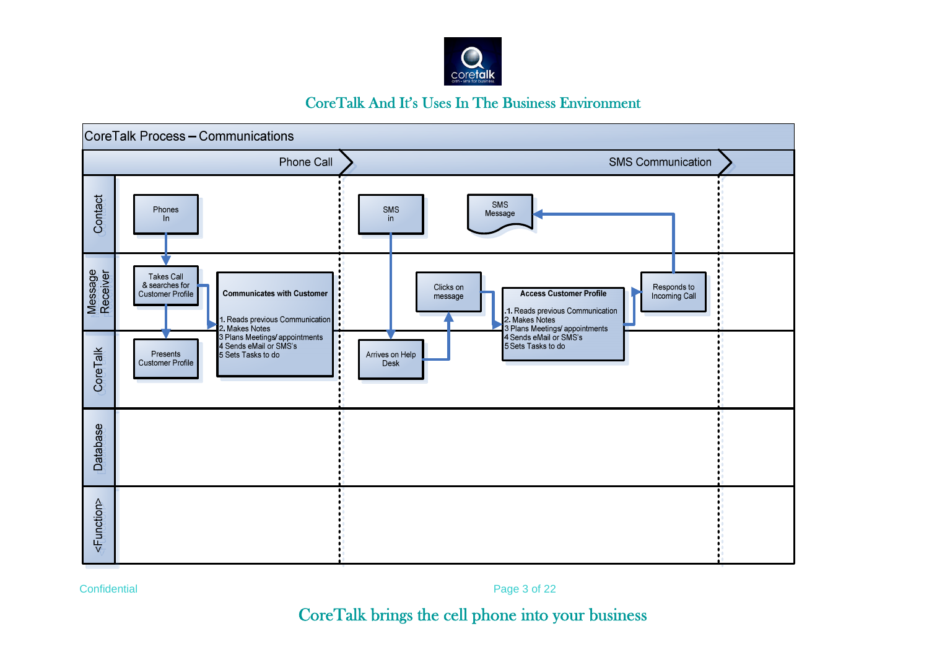



Confidential Page 3 of 22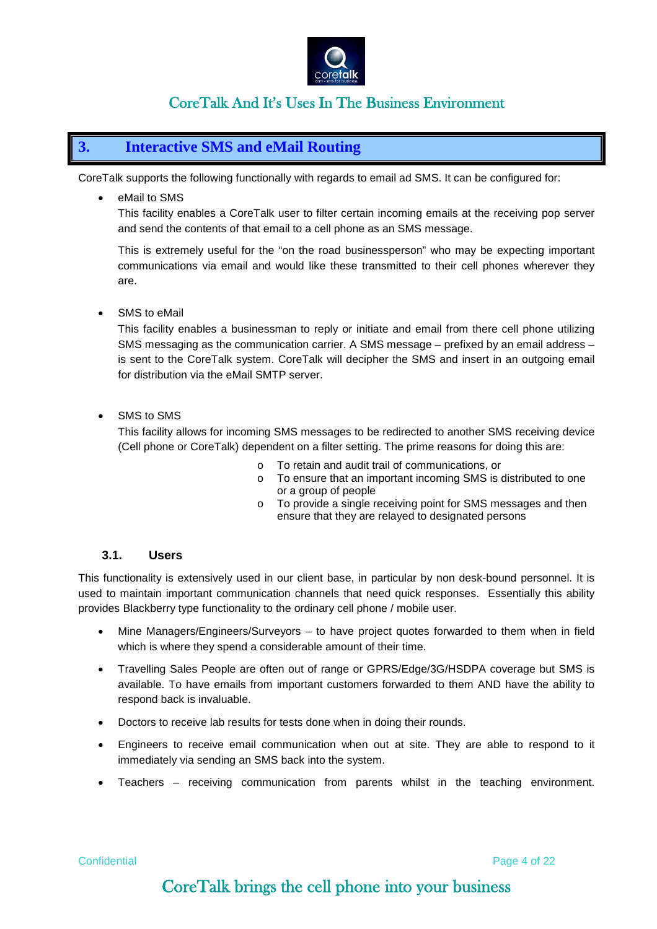

## <span id="page-5-0"></span>**3. Interactive SMS and eMail Routing**

CoreTalk supports the following functionally with regards to email ad SMS. It can be configured for:

eMail to SMS

This facility enables a CoreTalk user to filter certain incoming emails at the receiving pop server and send the contents of that email to a cell phone as an SMS message.

This is extremely useful for the "on the road businessperson" who may be expecting important communications via email and would like these transmitted to their cell phones wherever they are.

SMS to eMail

This facility enables a businessman to reply or initiate and email from there cell phone utilizing SMS messaging as the communication carrier. A SMS message – prefixed by an email address – is sent to the CoreTalk system. CoreTalk will decipher the SMS and insert in an outgoing email for distribution via the eMail SMTP server.

SMS to SMS

This facility allows for incoming SMS messages to be redirected to another SMS receiving device (Cell phone or CoreTalk) dependent on a filter setting. The prime reasons for doing this are:

- o To retain and audit trail of communications, or
- o To ensure that an important incoming SMS is distributed to one or a group of people
- o To provide a single receiving point for SMS messages and then ensure that they are relayed to designated persons

### <span id="page-5-1"></span>**3.1. Users**

This functionality is extensively used in our client base, in particular by non desk-bound personnel. It is used to maintain important communication channels that need quick responses. Essentially this ability provides Blackberry type functionality to the ordinary cell phone / mobile user.

- Mine Managers/Engineers/Surveyors to have project quotes forwarded to them when in field which is where they spend a considerable amount of their time.
- Travelling Sales People are often out of range or GPRS/Edge/3G/HSDPA coverage but SMS is available. To have emails from important customers forwarded to them AND have the ability to respond back is invaluable.
- Doctors to receive lab results for tests done when in doing their rounds.
- Engineers to receive email communication when out at site. They are able to respond to it immediately via sending an SMS back into the system.
- Teachers receiving communication from parents whilst in the teaching environment.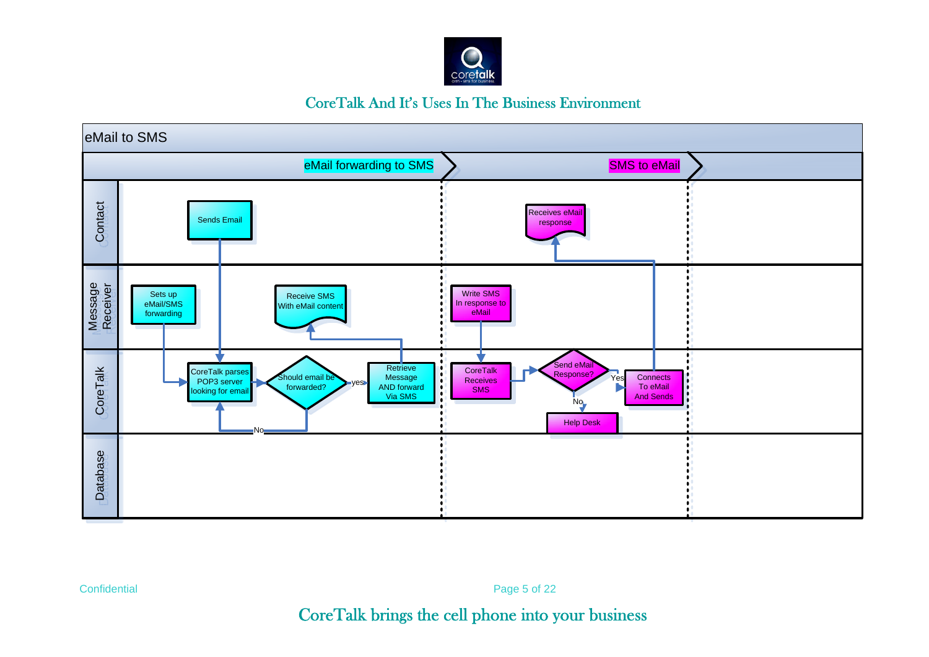



Confidential Page 5 of 22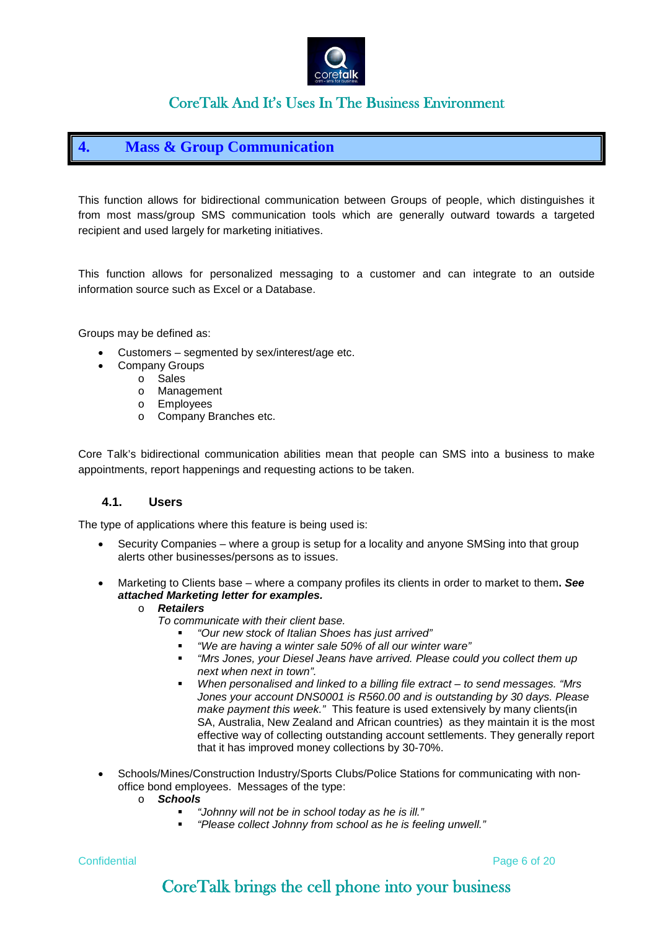

### <span id="page-7-0"></span>**4. Mass & Group Communication**

This function allows for bidirectional communication between Groups of people, which distinguishes it from most mass/group SMS communication tools which are generally outward towards a targeted recipient and used largely for marketing initiatives.

This function allows for personalized messaging to a customer and can integrate to an outside information source such as Excel or a Database.

Groups may be defined as:

- Customers segmented by sex/interest/age etc.
- Company Groups
	- o Sales
	- o Management
	- o Employees
	- o Company Branches etc.

Core Talk's bidirectional communication abilities mean that people can SMS into a business to make appointments, report happenings and requesting actions to be taken.

### <span id="page-7-1"></span>**4.1. Users**

The type of applications where this feature is being used is:

- Security Companies where a group is setup for a locality and anyone SMSing into that group alerts other businesses/persons as to issues.
- Marketing to Clients base where a company profiles its clients in order to market to them**.** *See attached Marketing letter for examples.*

### o *Retailers*

- *To communicate with their client base.*
	- *"Our new stock of Italian Shoes has just arrived"*
	- *"We are having a winter sale 50% of all our winter ware"*
	- *"Mrs Jones, your Diesel Jeans have arrived. Please could you collect them up next when next in town".*
	- *When personalised and linked to a billing file extract – to send messages. "Mrs Jones your account DNS0001 is R560.00 and is outstanding by 30 days. Please make payment this week."* This feature is used extensively by many clients(in SA, Australia, New Zealand and African countries) as they maintain it is the most effective way of collecting outstanding account settlements. They generally report that it has improved money collections by 30-70%.

 Schools/Mines/Construction Industry/Sports Clubs/Police Stations for communicating with nonoffice bond employees. Messages of the type:

- o *Schools*
	- *"Johnny will not be in school today as he is ill."*
	- *"Please collect Johnny from school as he is feeling unwell."*

**Confidential Page 6 of 20**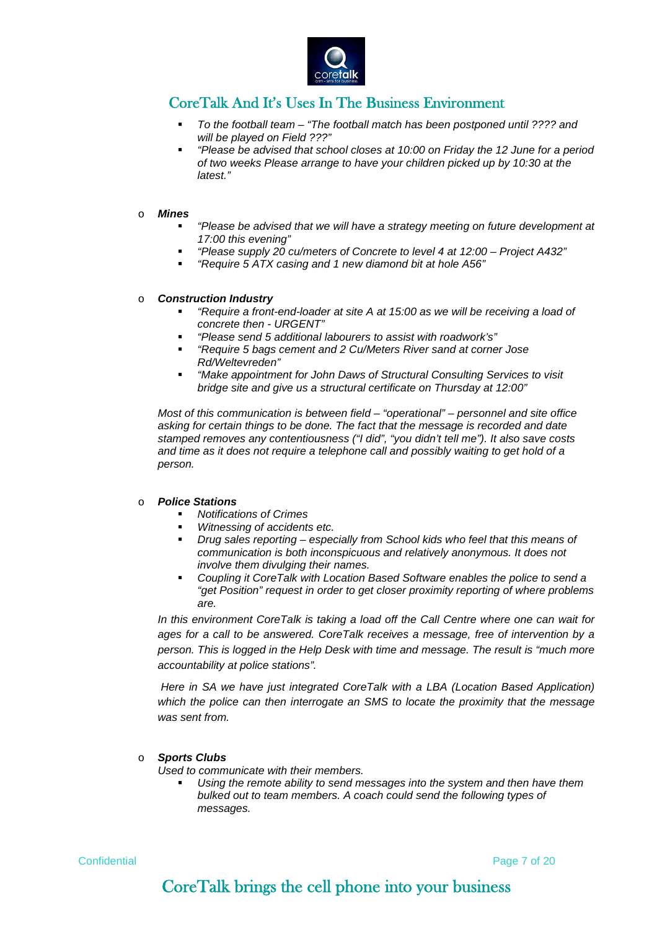

- *To the football team – "The football match has been postponed until ???? and will be played on Field ???"*
- *"Please be advised that school closes at 10:00 on Friday the 12 June for a period of two weeks Please arrange to have your children picked up by 10:30 at the latest."*

#### o *Mines*

- *"Please be advised that we will have a strategy meeting on future development at 17:00 this evening"*
- *"Please supply 20 cu/meters of Concrete to level 4 at 12:00 – Project A432"*
- *"Require 5 ATX casing and 1 new diamond bit at hole A56"*

#### o *Construction Industry*

- *"Require a front-end-loader at site A at 15:00 as we will be receiving a load of concrete then - URGENT"*
- *"Please send 5 additional labourers to assist with roadwork's"*
- *"Require 5 bags cement and 2 Cu/Meters River sand at corner Jose Rd/Weltevreden"*
- *"Make appointment for John Daws of Structural Consulting Services to visit bridge site and give us a structural certificate on Thursday at 12:00"*

*Most of this communication is between field – "operational" – personnel and site office asking for certain things to be done. The fact that the message is recorded and date stamped removes any contentiousness ("I did", "you didn't tell me"). It also save costs and time as it does not require a telephone call and possibly waiting to get hold of a person.*

### o *Police Stations*

- *Notifications of Crimes*
- *Witnessing of accidents etc.*
- *Drug sales reporting – especially from School kids who feel that this means of communication is both inconspicuous and relatively anonymous. It does not involve them divulging their names.*
- *Coupling it CoreTalk with Location Based Software enables the police to send a "get Position" request in order to get closer proximity reporting of where problems are.*

*In this environment CoreTalk is taking a load off the Call Centre where one can wait for ages for a call to be answered. CoreTalk receives a message, free of intervention by a person. This is logged in the Help Desk with time and message. The result is "much more accountability at police stations".*

*Here in SA we have just integrated CoreTalk with a LBA (Location Based Application) which the police can then interrogate an SMS to locate the proximity that the message was sent from.*

#### o *Sports Clubs*

*Used to communicate with their members.*

 *Using the remote ability to send messages into the system and then have them bulked out to team members. A coach could send the following types of messages.*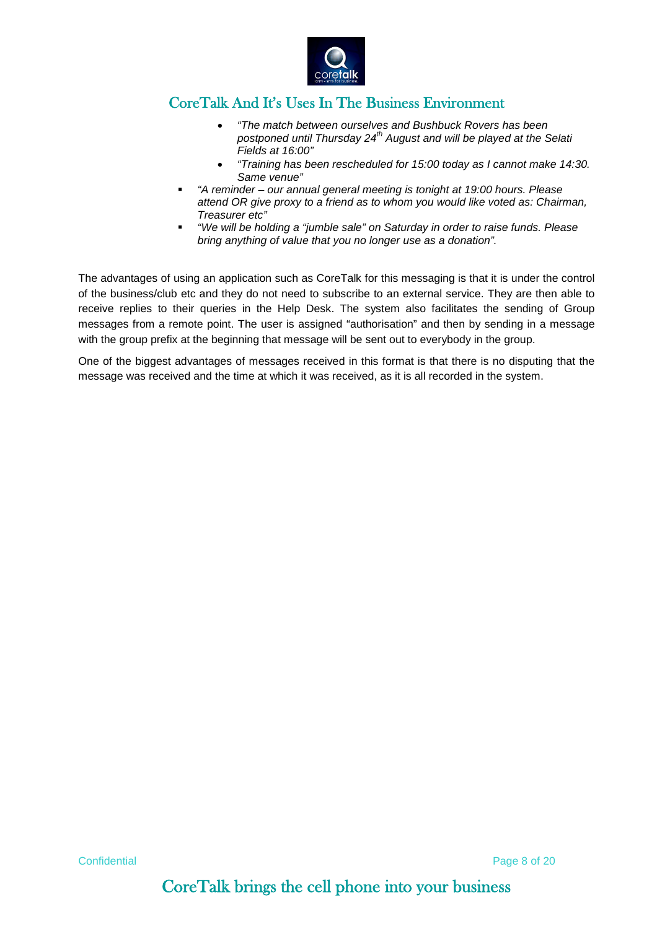

- *"The match between ourselves and Bushbuck Rovers has been postponed until Thursday 24th August and will be played at the Selati Fields at 16:00"*
- *"Training has been rescheduled for 15:00 today as I cannot make 14:30. Same venue"*
- *"A reminder – our annual general meeting is tonight at 19:00 hours. Please attend OR give proxy to a friend as to whom you would like voted as: Chairman, Treasurer etc"*
- *"We will be holding a "jumble sale" on Saturday in order to raise funds. Please bring anything of value that you no longer use as a donation".*

The advantages of using an application such as CoreTalk for this messaging is that it is under the control of the business/club etc and they do not need to subscribe to an external service. They are then able to receive replies to their queries in the Help Desk. The system also facilitates the sending of Group messages from a remote point. The user is assigned "authorisation" and then by sending in a message with the group prefix at the beginning that message will be sent out to everybody in the group.

One of the biggest advantages of messages received in this format is that there is no disputing that the message was received and the time at which it was received, as it is all recorded in the system.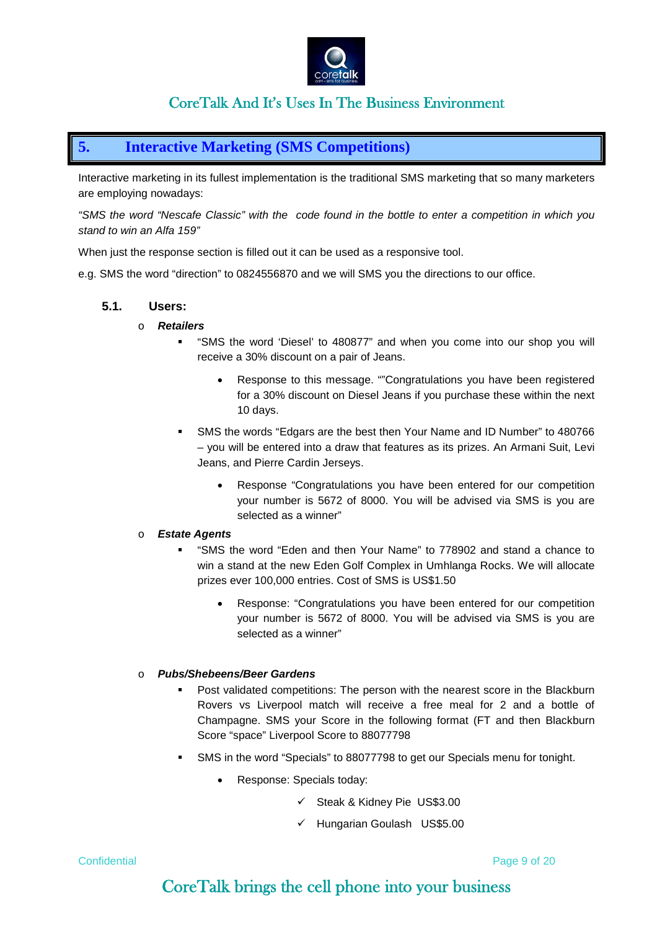

## <span id="page-10-0"></span>**5. Interactive Marketing (SMS Competitions)**

Interactive marketing in its fullest implementation is the traditional SMS marketing that so many marketers are employing nowadays:

*"SMS the word "Nescafe Classic" with the code found in the bottle to enter a competition in which you stand to win an Alfa 159"*

When just the response section is filled out it can be used as a responsive tool.

e.g. SMS the word "direction" to 0824556870 and we will SMS you the directions to our office.

- <span id="page-10-1"></span>**5.1. Users:**
	- o *Retailers*
		- "SMS the word 'Diesel' to 480877" and when you come into our shop you will receive a 30% discount on a pair of Jeans.
			- Response to this message. ""Congratulations you have been registered for a 30% discount on Diesel Jeans if you purchase these within the next 10 days.
		- SMS the words "Edgars are the best then Your Name and ID Number" to 480766 – you will be entered into a draw that features as its prizes. An Armani Suit, Levi Jeans, and Pierre Cardin Jerseys.
			- Response "Congratulations you have been entered for our competition your number is 5672 of 8000. You will be advised via SMS is you are selected as a winner"

### o *Estate Agents*

- "SMS the word "Eden and then Your Name" to 778902 and stand a chance to win a stand at the new Eden Golf Complex in Umhlanga Rocks. We will allocate prizes ever 100,000 entries. Cost of SMS is US\$1.50
	- Response: "Congratulations you have been entered for our competition your number is 5672 of 8000. You will be advised via SMS is you are selected as a winner"

### o *Pubs/Shebeens/Beer Gardens*

- Post validated competitions: The person with the nearest score in the Blackburn Rovers vs Liverpool match will receive a free meal for 2 and a bottle of Champagne. SMS your Score in the following format (FT and then Blackburn Score "space" Liverpool Score to 88077798
- SMS in the word "Specials" to 88077798 to get our Specials menu for tonight.
	- Response: Specials today:
		- Steak & Kidney Pie US\$3.00
		- $\checkmark$  Hungarian Goulash US\$5.00

**Confidential Page 9 of 20**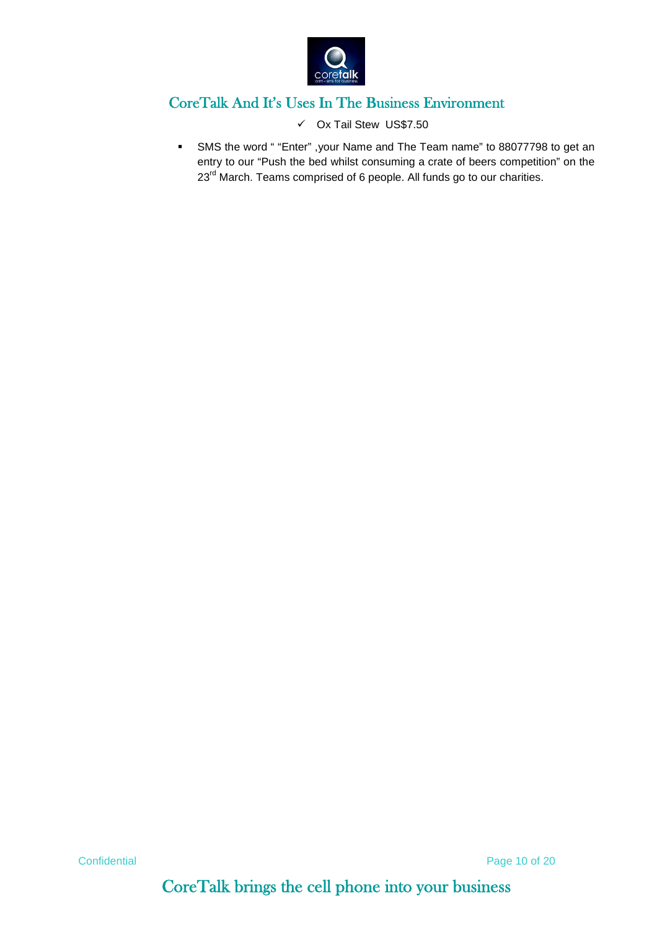

Ox Tail Stew US\$7.50

 SMS the word " "Enter" ,your Name and The Team name" to 88077798 to get an entry to our "Push the bed whilst consuming a crate of beers competition" on the 23<sup>rd</sup> March. Teams comprised of 6 people. All funds go to our charities.

Confidential Page 10 of 20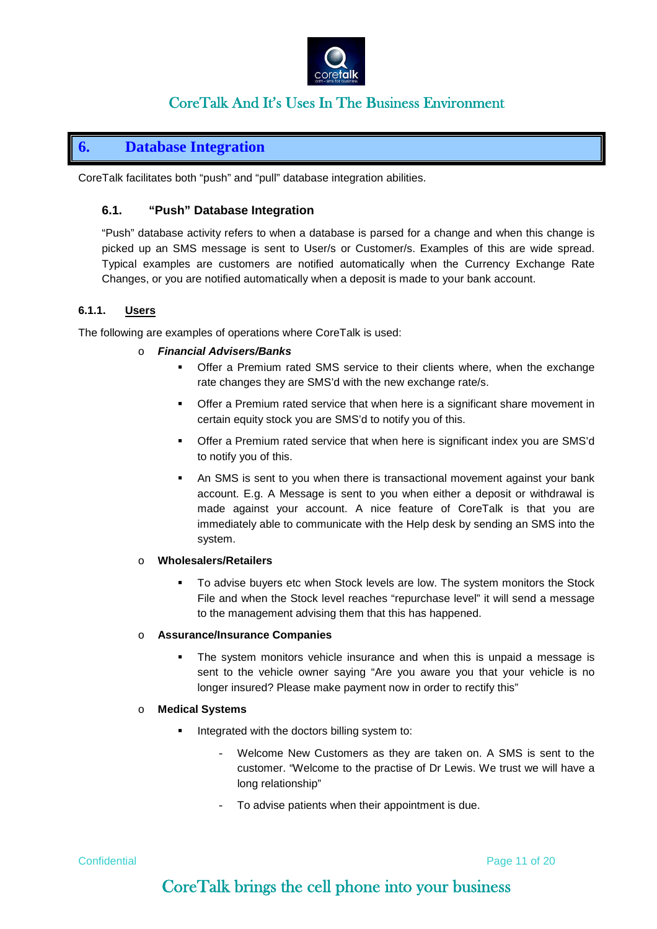

## <span id="page-12-0"></span>**6. Database Integration**

CoreTalk facilitates both "push" and "pull" database integration abilities.

### <span id="page-12-1"></span>**6.1. "Push" Database Integration**

"Push" database activity refers to when a database is parsed for a change and when this change is picked up an SMS message is sent to User/s or Customer/s. Examples of this are wide spread. Typical examples are customers are notified automatically when the Currency Exchange Rate Changes, or you are notified automatically when a deposit is made to your bank account.

### <span id="page-12-2"></span>**6.1.1. Users**

The following are examples of operations where CoreTalk is used:

- o *Financial Advisers/Banks*
	- Offer a Premium rated SMS service to their clients where, when the exchange rate changes they are SMS'd with the new exchange rate/s.
	- Offer a Premium rated service that when here is a significant share movement in certain equity stock you are SMS'd to notify you of this.
	- Offer a Premium rated service that when here is significant index you are SMS'd to notify you of this.
	- An SMS is sent to you when there is transactional movement against your bank account. E.g. A Message is sent to you when either a deposit or withdrawal is made against your account. A nice feature of CoreTalk is that you are immediately able to communicate with the Help desk by sending an SMS into the system.

#### o **Wholesalers/Retailers**

 To advise buyers etc when Stock levels are low. The system monitors the Stock File and when the Stock level reaches "repurchase level" it will send a message to the management advising them that this has happened.

### o **Assurance/Insurance Companies**

 The system monitors vehicle insurance and when this is unpaid a message is sent to the vehicle owner saying "Are you aware you that your vehicle is no longer insured? Please make payment now in order to rectify this"

### o **Medical Systems**

- Integrated with the doctors billing system to:
	- Welcome New Customers as they are taken on. A SMS is sent to the customer. "Welcome to the practise of Dr Lewis. We trust we will have a long relationship"
	- To advise patients when their appointment is due.

**Confidential Confidential Confidential Confidential Confidential Confidential Confidential Confidential Confidential Confidential Confidential Confidential Confidential Confidential Confidential Confidential Confidential**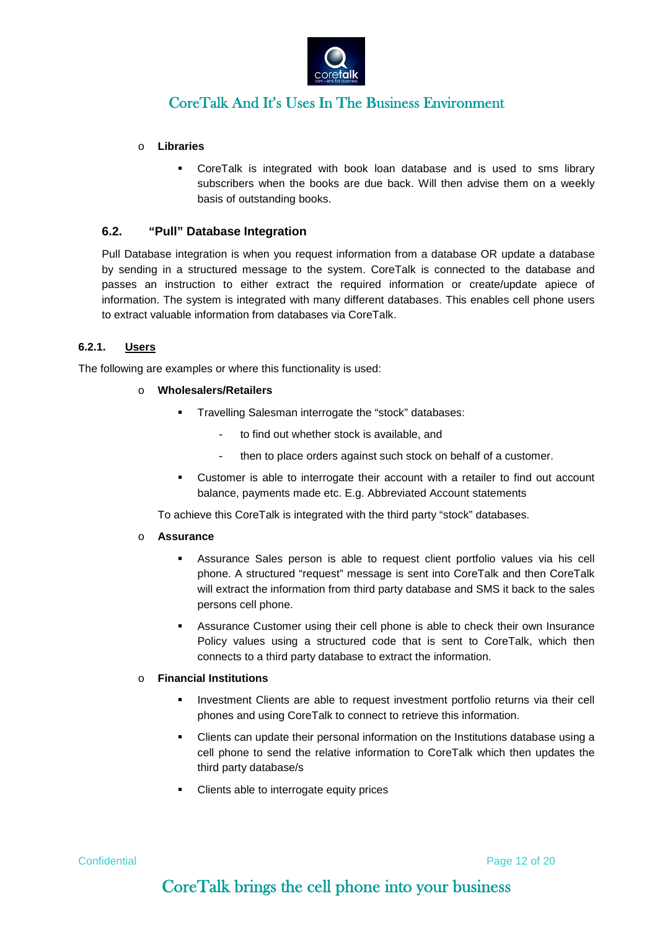

### o **Libraries**

 CoreTalk is integrated with book loan database and is used to sms library subscribers when the books are due back. Will then advise them on a weekly basis of outstanding books.

### <span id="page-13-0"></span>**6.2. "Pull" Database Integration**

Pull Database integration is when you request information from a database OR update a database by sending in a structured message to the system. CoreTalk is connected to the database and passes an instruction to either extract the required information or create/update apiece of information. The system is integrated with many different databases. This enables cell phone users to extract valuable information from databases via CoreTalk.

### <span id="page-13-1"></span>**6.2.1. Users**

The following are examples or where this functionality is used:

### o **Wholesalers/Retailers**

- Travelling Salesman interrogate the "stock" databases:
	- to find out whether stock is available, and
	- then to place orders against such stock on behalf of a customer.
- Customer is able to interrogate their account with a retailer to find out account balance, payments made etc. E.g. Abbreviated Account statements

To achieve this CoreTalk is integrated with the third party "stock" databases.

### o **Assurance**

- Assurance Sales person is able to request client portfolio values via his cell phone. A structured "request" message is sent into CoreTalk and then CoreTalk will extract the information from third party database and SMS it back to the sales persons cell phone.
- Assurance Customer using their cell phone is able to check their own Insurance Policy values using a structured code that is sent to CoreTalk, which then connects to a third party database to extract the information.

### o **Financial Institutions**

- Investment Clients are able to request investment portfolio returns via their cell phones and using CoreTalk to connect to retrieve this information.
- Clients can update their personal information on the Institutions database using a cell phone to send the relative information to CoreTalk which then updates the third party database/s
- Clients able to interrogate equity prices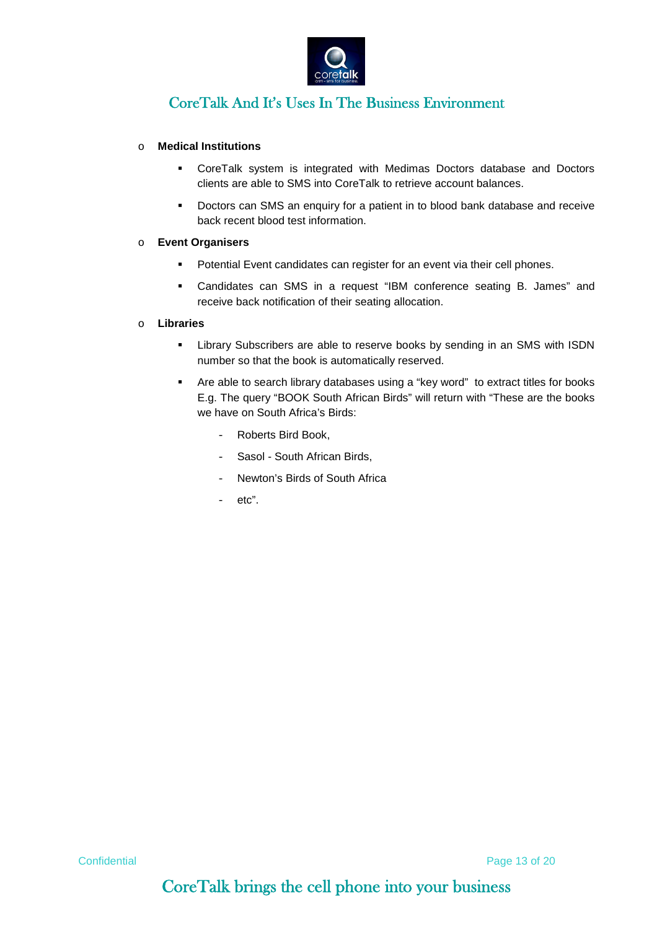

### o **Medical Institutions**

- CoreTalk system is integrated with Medimas Doctors database and Doctors clients are able to SMS into CoreTalk to retrieve account balances.
- **Doctors can SMS an enquiry for a patient in to blood bank database and receive** back recent blood test information.

### o **Event Organisers**

- **Potential Event candidates can register for an event via their cell phones.**
- Candidates can SMS in a request "IBM conference seating B. James" and receive back notification of their seating allocation.

### o **Libraries**

- **EXECT** Library Subscribers are able to reserve books by sending in an SMS with ISDN number so that the book is automatically reserved.
- Are able to search library databases using a "key word" to extract titles for books E.g. The query "BOOK South African Birds" will return with "These are the books we have on South Africa's Birds:
	- Roberts Bird Book.
	- Sasol South African Birds,
	- Newton's Birds of South Africa
	- $-$  etc".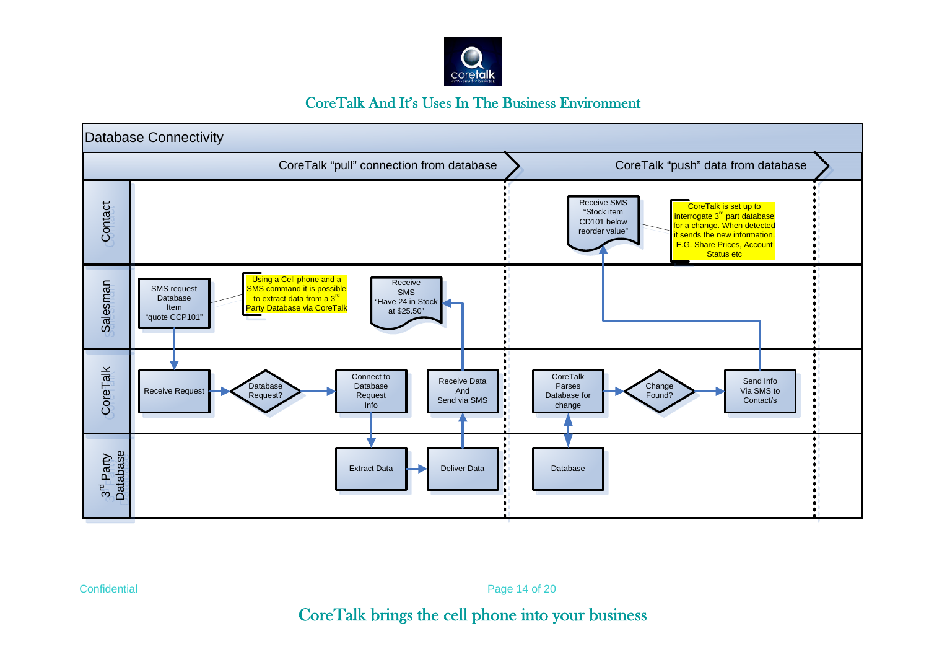



Confidential Page 14 of 20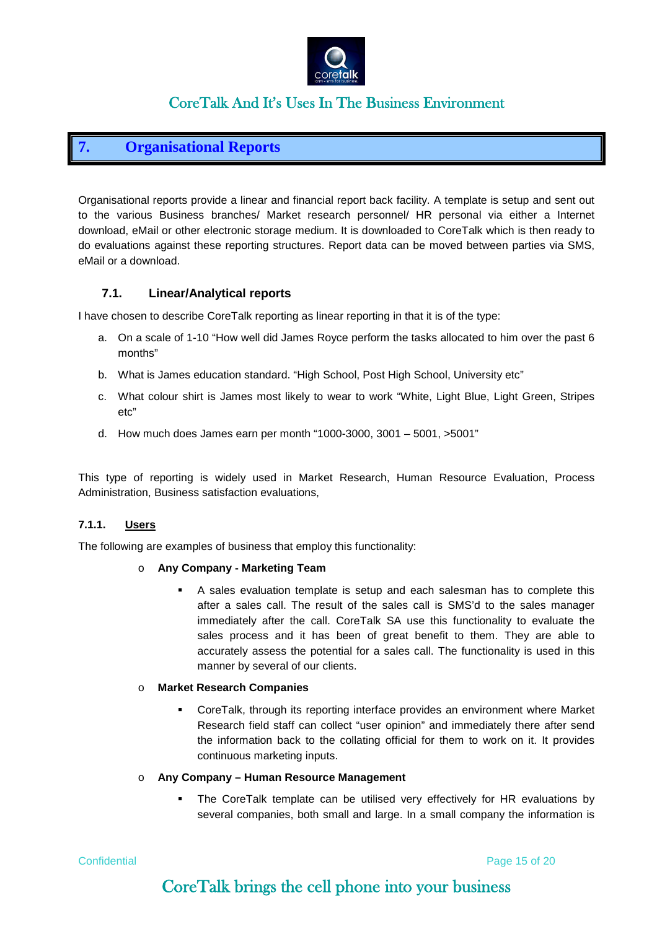

### <span id="page-16-0"></span>**7. Organisational Reports**

Organisational reports provide a linear and financial report back facility. A template is setup and sent out to the various Business branches/ Market research personnel/ HR personal via either a Internet download, eMail or other electronic storage medium. It is downloaded to CoreTalk which is then ready to do evaluations against these reporting structures. Report data can be moved between parties via SMS, eMail or a download.

### <span id="page-16-1"></span>**7.1. Linear/Analytical reports**

I have chosen to describe CoreTalk reporting as linear reporting in that it is of the type:

- a. On a scale of 1-10 "How well did James Royce perform the tasks allocated to him over the past 6 months"
- b. What is James education standard. "High School, Post High School, University etc"
- c. What colour shirt is James most likely to wear to work "White, Light Blue, Light Green, Stripes etc"
- d. How much does James earn per month "1000-3000, 3001 5001, >5001"

This type of reporting is widely used in Market Research, Human Resource Evaluation, Process Administration, Business satisfaction evaluations,

### <span id="page-16-2"></span>**7.1.1. Users**

The following are examples of business that employ this functionality:

### o **Any Company - Marketing Team**

 A sales evaluation template is setup and each salesman has to complete this after a sales call. The result of the sales call is SMS'd to the sales manager immediately after the call. CoreTalk SA use this functionality to evaluate the sales process and it has been of great benefit to them. They are able to accurately assess the potential for a sales call. The functionality is used in this manner by several of our clients.

### o **Market Research Companies**

 CoreTalk, through its reporting interface provides an environment where Market Research field staff can collect "user opinion" and immediately there after send the information back to the collating official for them to work on it. It provides continuous marketing inputs.

#### o **Any Company – Human Resource Management**

 The CoreTalk template can be utilised very effectively for HR evaluations by several companies, both small and large. In a small company the information is

**Confidential Confidential Confidential Confidential Confidential Confidential Confidential Confidential Confidential Confidential Confidential Confidential Confidential Confidential Confidential Confidential Confidential**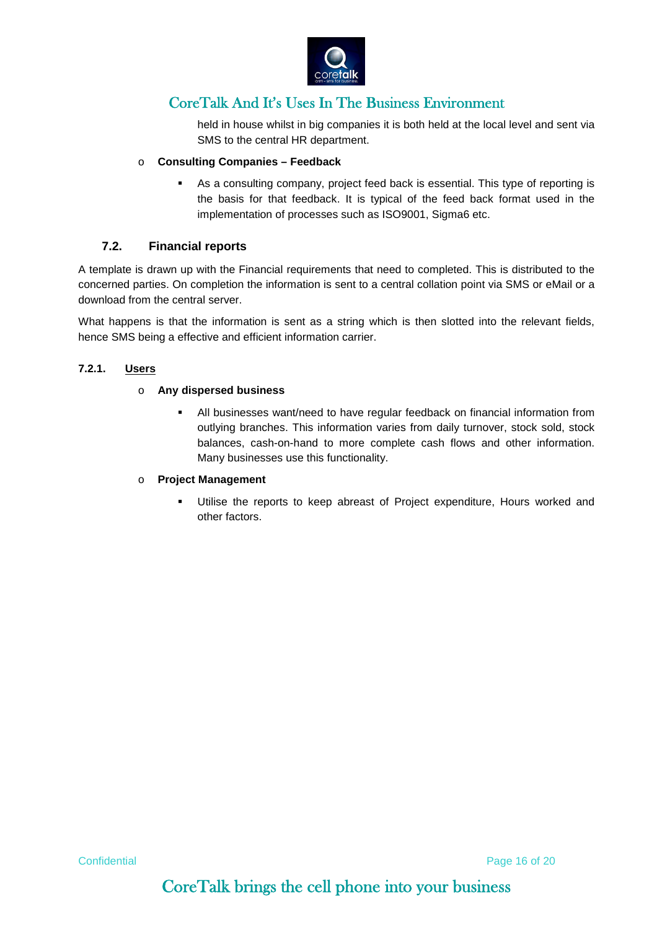

held in house whilst in big companies it is both held at the local level and sent via SMS to the central HR department.

### o **Consulting Companies – Feedback**

 As a consulting company, project feed back is essential. This type of reporting is the basis for that feedback. It is typical of the feed back format used in the implementation of processes such as ISO9001, Sigma6 etc.

### <span id="page-17-0"></span>**7.2. Financial reports**

A template is drawn up with the Financial requirements that need to completed. This is distributed to the concerned parties. On completion the information is sent to a central collation point via SMS or eMail or a download from the central server.

What happens is that the information is sent as a string which is then slotted into the relevant fields, hence SMS being a effective and efficient information carrier.

### **7.2.1. Users**

### <span id="page-17-1"></span>o **Any dispersed business**

 All businesses want/need to have regular feedback on financial information from outlying branches. This information varies from daily turnover, stock sold, stock balances, cash-on-hand to more complete cash flows and other information. Many businesses use this functionality.

### o **Project Management**

 Utilise the reports to keep abreast of Project expenditure, Hours worked and other factors.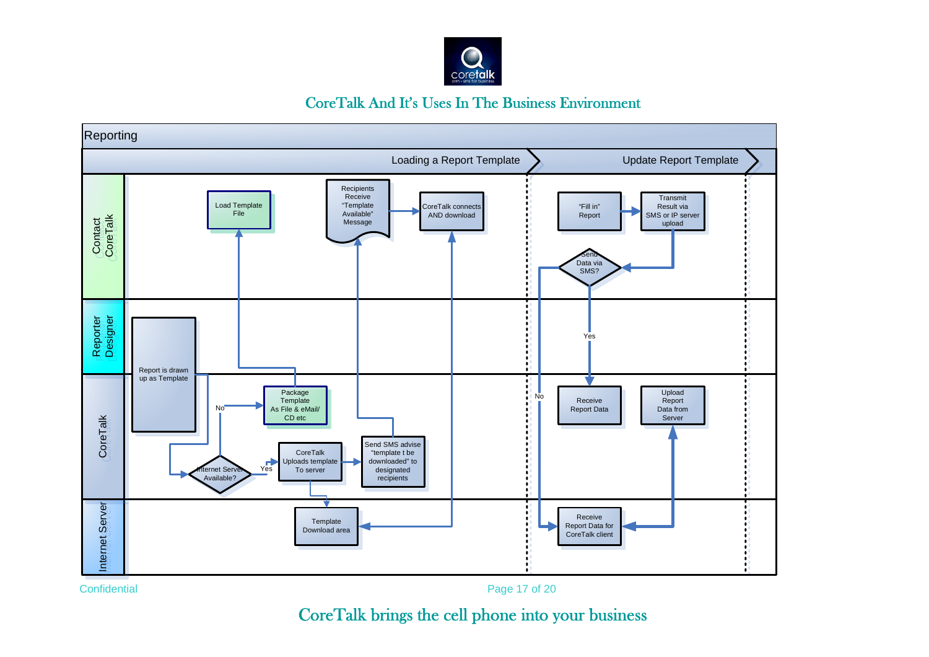



Confidential Page 17 of 20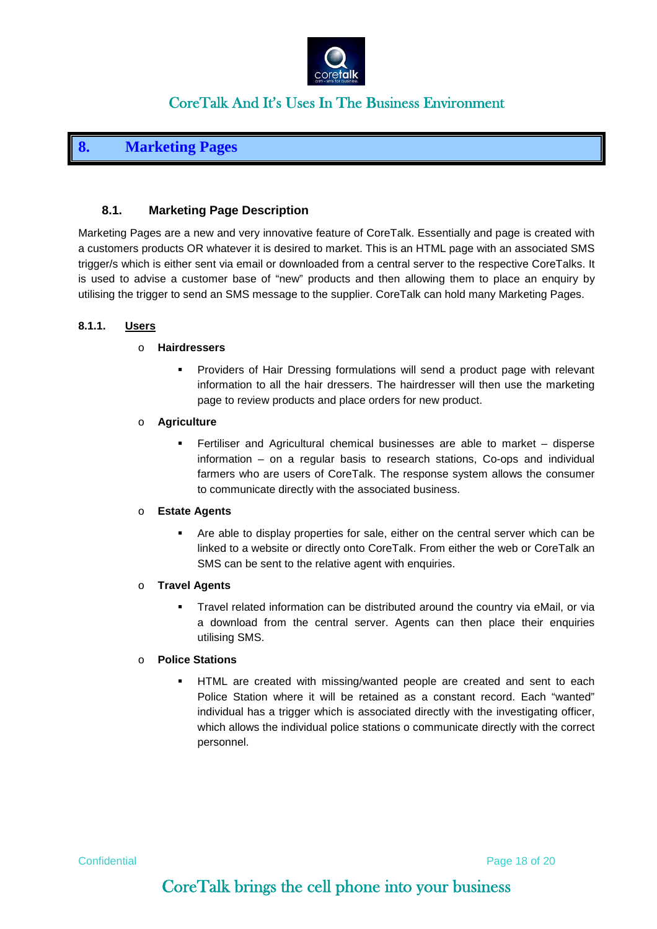

## <span id="page-19-0"></span>**8. Marketing Pages**

### <span id="page-19-1"></span>**8.1. Marketing Page Description**

Marketing Pages are a new and very innovative feature of CoreTalk. Essentially and page is created with a customers products OR whatever it is desired to market. This is an HTML page with an associated SMS trigger/s which is either sent via email or downloaded from a central server to the respective CoreTalks. It is used to advise a customer base of "new" products and then allowing them to place an enquiry by utilising the trigger to send an SMS message to the supplier. CoreTalk can hold many Marketing Pages.

### **8.1.1. Users**

### <span id="page-19-2"></span>o **Hairdressers**

 Providers of Hair Dressing formulations will send a product page with relevant information to all the hair dressers. The hairdresser will then use the marketing page to review products and place orders for new product.

### o **Agriculture**

 Fertiliser and Agricultural chemical businesses are able to market – disperse information – on a regular basis to research stations, Co-ops and individual farmers who are users of CoreTalk. The response system allows the consumer to communicate directly with the associated business.

### o **Estate Agents**

 Are able to display properties for sale, either on the central server which can be linked to a website or directly onto CoreTalk. From either the web or CoreTalk an SMS can be sent to the relative agent with enquiries.

### o **Travel Agents**

 Travel related information can be distributed around the country via eMail, or via a download from the central server. Agents can then place their enquiries utilising SMS.

### o **Police Stations**

 HTML are created with missing/wanted people are created and sent to each Police Station where it will be retained as a constant record. Each "wanted" individual has a trigger which is associated directly with the investigating officer, which allows the individual police stations o communicate directly with the correct personnel.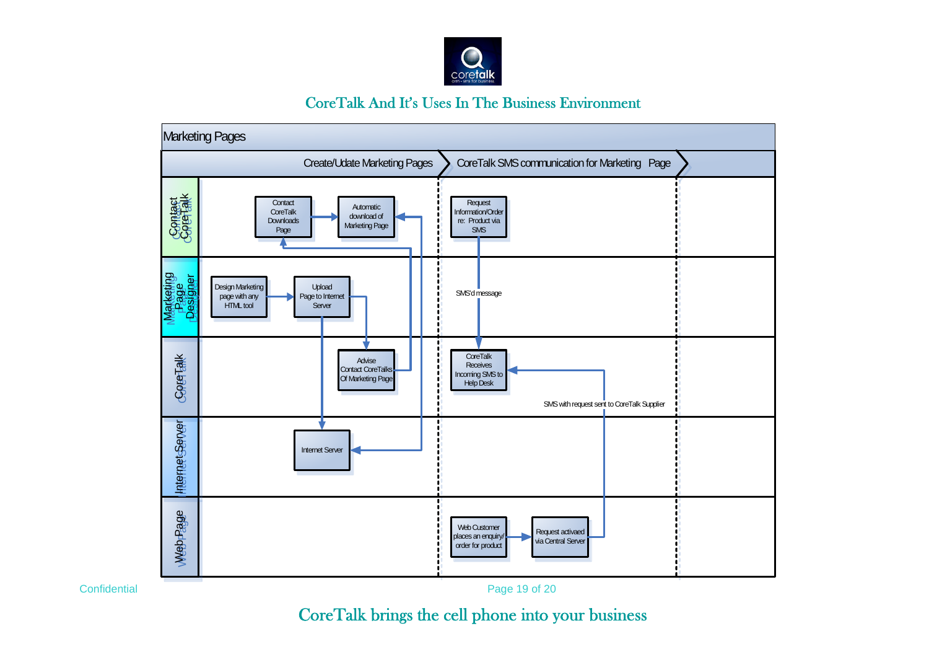